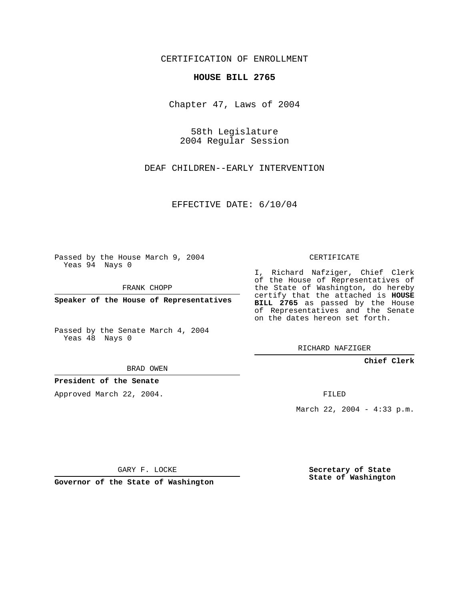CERTIFICATION OF ENROLLMENT

## **HOUSE BILL 2765**

Chapter 47, Laws of 2004

58th Legislature 2004 Regular Session

DEAF CHILDREN--EARLY INTERVENTION

EFFECTIVE DATE: 6/10/04

Passed by the House March 9, 2004 Yeas 94 Nays 0

FRANK CHOPP

**Speaker of the House of Representatives**

Passed by the Senate March 4, 2004 Yeas 48 Nays 0

BRAD OWEN

**President of the Senate**

Approved March 22, 2004.

CERTIFICATE

I, Richard Nafziger, Chief Clerk of the House of Representatives of the State of Washington, do hereby certify that the attached is **HOUSE BILL 2765** as passed by the House of Representatives and the Senate on the dates hereon set forth.

RICHARD NAFZIGER

**Chief Clerk**

FILED

March 22, 2004 - 4:33 p.m.

GARY F. LOCKE

**Governor of the State of Washington**

**Secretary of State State of Washington**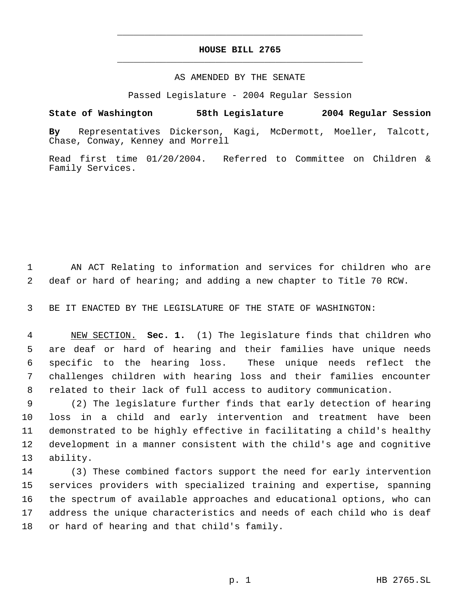## **HOUSE BILL 2765** \_\_\_\_\_\_\_\_\_\_\_\_\_\_\_\_\_\_\_\_\_\_\_\_\_\_\_\_\_\_\_\_\_\_\_\_\_\_\_\_\_\_\_\_\_

\_\_\_\_\_\_\_\_\_\_\_\_\_\_\_\_\_\_\_\_\_\_\_\_\_\_\_\_\_\_\_\_\_\_\_\_\_\_\_\_\_\_\_\_\_

## AS AMENDED BY THE SENATE

Passed Legislature - 2004 Regular Session

## **State of Washington 58th Legislature 2004 Regular Session**

**By** Representatives Dickerson, Kagi, McDermott, Moeller, Talcott, Chase, Conway, Kenney and Morrell

Read first time 01/20/2004. Referred to Committee on Children & Family Services.

 AN ACT Relating to information and services for children who are deaf or hard of hearing; and adding a new chapter to Title 70 RCW.

BE IT ENACTED BY THE LEGISLATURE OF THE STATE OF WASHINGTON:

 NEW SECTION. **Sec. 1.** (1) The legislature finds that children who are deaf or hard of hearing and their families have unique needs specific to the hearing loss. These unique needs reflect the challenges children with hearing loss and their families encounter related to their lack of full access to auditory communication.

 (2) The legislature further finds that early detection of hearing loss in a child and early intervention and treatment have been demonstrated to be highly effective in facilitating a child's healthy development in a manner consistent with the child's age and cognitive ability.

 (3) These combined factors support the need for early intervention services providers with specialized training and expertise, spanning the spectrum of available approaches and educational options, who can address the unique characteristics and needs of each child who is deaf or hard of hearing and that child's family.